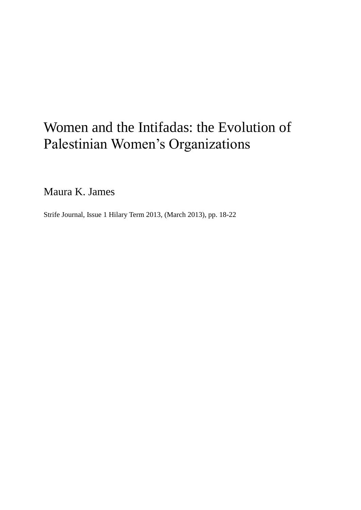## Women and the Intifadas: the Evolution of Palestinian Women's Organizations

Maura K. James

Strife Journal, Issue 1 Hilary Term 2013, (March 2013), pp. 18-22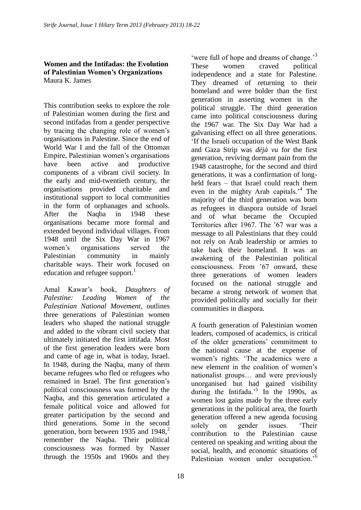## **Women and the Intifadas: the Evolution of Palestinian Women's Organizations** Maura K. James

This contribution seeks to explore the role of Palestinian women during the first and second intifadas from a gender perspective by tracing the changing role of women's organisations in Palestine. Since the end of World War I and the fall of the Ottoman Empire, Palestinian women's organisations have been active and productive components of a vibrant civil society. In the early and mid-twentieth century, the organisations provided charitable and institutional support to local communities in the form of orphanages and schools. After the Naqba in 1948 these organisations became more formal and extended beyond individual villages. From 1948 until the Six Day War in 1967 women's organisations served the Palestinian community in mainly charitable ways. Their work focused on education and refugee support.<sup>1</sup>

Amal Kawar's book, *Daughters of Palestine: Leading Women of the Palestinian National Movement*, outlines three generations of Palestinian women leaders who shaped the national struggle and added to the vibrant civil society that ultimately initiated the first intifada. Most of the first generation leaders were born and came of age in, what is today, Israel. In 1948, during the Naqba, many of them became refugees who fled or refugees who remained in Israel. The first generation's political consciousness was formed by the Naqba, and this generation articulated a female political voice and allowed for greater participation by the second and third generations. Some in the second generation, born between 1935 and 1948.<sup>2</sup> remember the Naqba. Their political consciousness was formed by Nasser through the 1950s and 1960s and they

'were full of hope and dreams of change.'<sup>3</sup> These women craved political independence and a state for Palestine. They dreamed of returning to their homeland and were bolder than the first generation in asserting women in the political struggle. The third generation came into political consciousness during the 1967 war. The Six Day War had a galvanising effect on all three generations. 'If the Israeli occupation of the West Bank and Gaza Strip was *déjà vu* for the first generation, reviving dormant pain from the 1948 catastrophe, for the second and third generations, it was a confirmation of longheld fears – that Israel could reach them even in the mighty Arab capitals.<sup>4</sup> The majority of the third generation was born as refugees in diaspora outside of Israel and of what became the Occupied Territories after 1967. The '67 war was a message to all Palestinians that they could not rely on Arab leadership or armies to take back their homeland. It was an awakening of the Palestinian political consciousness. From '67 onward, these three generations of women leaders focused on the national struggle and became a strong network of women that provided politically and socially for their communities in diaspora.

A fourth generation of Palestinian women leaders, composed of academics, is critical of the older generations' commitment to the national cause at the expense of women's rights. 'The academics were a new element in the coalition of women's nationalist groups… and were previously unorganised but had gained visibility during the Intifada.<sup>5</sup> In the 1990s, as women lost gains made by the three early generations in the political area, the fourth generation offered a new agenda focusing solely on gender issues. 'Their contribution to the Palestinian cause centered on speaking and writing about the social, health, and economic situations of Palestinian women under occupation.<sup>'6</sup>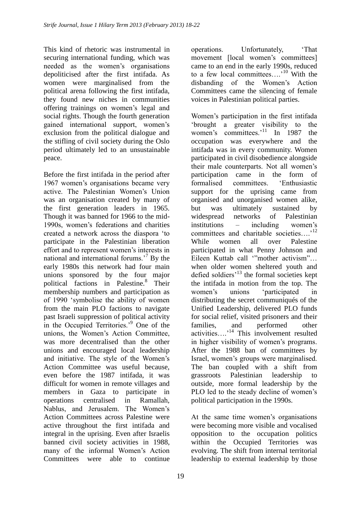This kind of rhetoric was instrumental in securing international funding, which was needed as the women's organisations depoliticised after the first intifada. As women were marginalised from the political arena following the first intifada, they found new niches in communities offering trainings on women's legal and social rights. Though the fourth generation gained international support, women's exclusion from the political dialogue and the stifling of civil society during the Oslo period ultimately led to an unsustainable peace.

Before the first intifada in the period after 1967 women's organisations became very active. The Palestinian Women's Union was an organisation created by many of the first generation leaders in 1965. Though it was banned for 1966 to the mid-1990s, women's federations and charities created a network across the diaspora 'to participate in the Palestinian liberation effort and to represent women's interests in national and international forums.'<sup>7</sup> By the early 1980s this network had four main unions sponsored by the four major political factions in Palestine.<sup>8</sup> Their membership numbers and participation as of 1990 'symbolise the ability of women from the main PLO factions to navigate past Israeli suppression of political activity in the Occupied Territories.'<sup>9</sup> One of the unions, the Women's Action Committee, was more decentralised than the other unions and encouraged local leadership and initiative. The style of the Women's Action Committee was useful because, even before the 1987 intifada, it was difficult for women in remote villages and members in Gaza to participate in operations centralised in Ramallah, Nablus, and Jerusalem. The Women's Action Committees across Palestine were active throughout the first intifada and integral in the uprising. Even after Israelis banned civil society activities in 1988, many of the informal Women's Action Committees were able to continue

operations. Unfortunately, 'That movement [local women's committees] came to an end in the early 1990s, reduced to a few local committees....<sup>10</sup> With the disbanding of the Women's Action Committees came the silencing of female voices in Palestinian political parties.

Women's participation in the first intifada 'brought a greater visibility to the women's committees.<sup>11</sup> In 1987 the occupation was everywhere and the intifada was in every community. Women participated in civil disobedience alongside their male counterparts. Not all women's participation came in the form of formalised committees 'Enthusiastic support for the uprising came from organised and unorganised women alike, but was ultimately sustained by widespread networks of Palestinian institutions – including women's committees and charitable societies...<sup>12</sup> While women all over Palestine participated in what Penny Johnson and Eileen Kuttab call '"mother activism"… when older women sheltered youth and defied soldiers<sup>13</sup> the formal societies kept the intifada in motion from the top. The women's unions 'participated in distributing the secret communiqués of the Unified Leadership, delivered PLO funds for social relief, visited prisoners and their families, and performed other activities….'<sup>14</sup> This involvement resulted in higher visibility of women's programs. After the 1988 ban of committees by Israel, women's groups were marginalised. The ban coupled with a shift from grassroots Palestinian leadership to outside, more formal leadership by the PLO led to the steady decline of women's political participation in the 1990s.

At the same time women's organisations were becoming more visible and vocalised opposition to the occupation politics within the Occupied Territories was evolving. The shift from internal territorial leadership to external leadership by those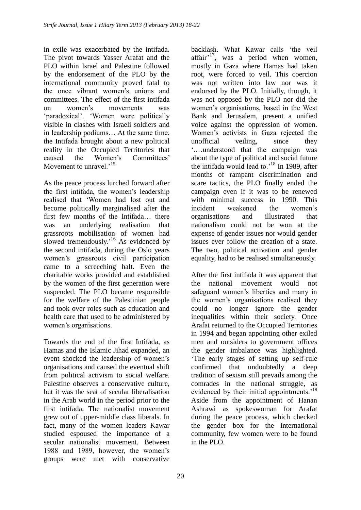in exile was exacerbated by the intifada. The pivot towards Yasser Arafat and the PLO within Israel and Palestine followed by the endorsement of the PLO by the international community proved fatal to the once vibrant women's unions and committees. The effect of the first intifada on women's movements was 'paradoxical'. 'Women were politically visible in clashes with Israeli soldiers and in leadership podiums… At the same time, the Intifada brought about a new political reality in the Occupied Territories that caused the Women's Committees' Movement to unravel.<sup>15</sup>

As the peace process lurched forward after the first intifada, the women's leadership realised that 'Women had lost out and become politically marginalised after the first few months of the Intifada… there was an underlying realisation that grassroots mobilisation of women had slowed tremendously.<sup>16</sup> As evidenced by the second intifada, during the Oslo years women's grassroots civil participation came to a screeching halt. Even the charitable works provided and established by the women of the first generation were suspended. The PLO became responsible for the welfare of the Palestinian people and took over roles such as education and health care that used to be administered by women's organisations.

Towards the end of the first Intifada, as Hamas and the Islamic Jihad expanded, an event shocked the leadership of women's organisations and caused the eventual shift from political activism to social welfare. Palestine observes a conservative culture, but it was the seat of secular liberalisation in the Arab world in the period prior to the first intifada. The nationalist movement grew out of upper-middle class liberals. In fact, many of the women leaders Kawar studied espoused the importance of a secular nationalist movement. Between 1988 and 1989, however, the women's groups were met with conservative

backlash. What Kawar calls 'the veil affair $17$ , was a period when women, mostly in Gaza where Hamas had taken root, were forced to veil. This coercion was not written into law nor was it endorsed by the PLO. Initially, though, it was not opposed by the PLO nor did the women's organisations, based in the West Bank and Jerusalem, present a unified voice against the oppression of women. Women's activists in Gaza rejected the unofficial veiling, since they '.…understood that the campaign was about the type of political and social future the intifada would lead to.'<sup>18</sup> In 1989, after months of rampant discrimination and scare tactics, the PLO finally ended the campaign even if it was to be renewed with minimal success in 1990. This incident weakened the women's organisations and illustrated that nationalism could not be won at the expense of gender issues nor would gender issues ever follow the creation of a state. The two, political activation and gender equality, had to be realised simultaneously.

After the first intifada it was apparent that the national movement would not safeguard women's liberties and many in the women's organisations realised they could no longer ignore the gender inequalities within their society. Once Arafat returned to the Occupied Territories in 1994 and began appointing other exiled men and outsiders to government offices the gender imbalance was highlighted. 'The early stages of setting up self-rule confirmed that undoubtedly a deep tradition of sexism still prevails among the comrades in the national struggle, as evidenced by their initial appointments.<sup>'19</sup> Aside from the appointment of Hanan Ashrawi as spokeswoman for Arafat during the peace process, which checked the gender box for the international community, few women were to be found in the PLO.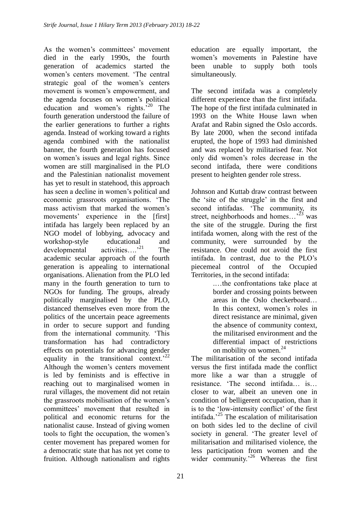As the women's committees' movement died in the early 1990s, the fourth generation of academics started the women's centers movement. 'The central strategic goal of the women's centers movement is women's empowerment, and the agenda focuses on women's political education and women's rights. $520$  The fourth generation understood the failure of the earlier generations to further a rights agenda. Instead of working toward a rights agenda combined with the nationalist banner, the fourth generation has focused on women's issues and legal rights. Since women are still marginalised in the PLO and the Palestinian nationalist movement has yet to result in statehood, this approach has seen a decline in women's political and economic grassroots organisations. 'The mass activism that marked the women's movements' experience in the [first] intifada has largely been replaced by an NGO model of lobbying, advocacy and workshop-style educational and developmental activities....<sup>21</sup> The academic secular approach of the fourth generation is appealing to international organisations. Alienation from the PLO led many in the fourth generation to turn to NGOs for funding. The groups, already politically marginalised by the PLO, distanced themselves even more from the politics of the uncertain peace agreements in order to secure support and funding from the international community. 'This transformation has had contradictory effects on potentials for advancing gender equality in the transitional context.<sup>22</sup> Although the women's centers movement is led by feminists and is effective in reaching out to marginalised women in rural villages, the movement did not retain the grassroots mobilisation of the women's committees' movement that resulted in political and economic returns for the nationalist cause. Instead of giving women tools to fight the occupation, the women's center movement has prepared women for a democratic state that has not yet come to fruition. Although nationalism and rights

education are equally important, the women's movements in Palestine have been unable to supply both tools simultaneously.

The second intifada was a completely different experience than the first intifada. The hope of the first intifada culminated in 1993 on the White House lawn when Arafat and Rabin signed the Oslo accords. By late 2000, when the second intifada erupted, the hope of 1993 had diminished and was replaced by militarised fear. Not only did women's roles decrease in the second intifada, there were conditions present to heighten gender role stress.

Johnson and Kuttab draw contrast between the 'site of the struggle' in the first and second intifadas. 'The community, its street, neighborhoods and homes...<sup>23</sup> was the site of the struggle. During the first intifada women, along with the rest of the community, were surrounded by the resistance. One could not avoid the first intifada. In contrast, due to the PLO's piecemeal control of the Occupied Territories, in the second intifada:

.…the confrontations take place at border and crossing points between areas in the Oslo checkerboard… In this context, women's roles in direct resistance are minimal, given the absence of community context, the militarised environment and the differential impact of restrictions on mobility on women. $24$ 

The militarisation of the second intifada versus the first intifada made the conflict more like a war than a struggle of resistance. 'The second intifada… is… closer to war, albeit an uneven one in condition of belligerent occupation, than it is to the 'low-intensity conflict' of the first intifada.'<sup>25</sup> The escalation of militarisation on both sides led to the decline of civil society in general. 'The greater level of militarisation and militarised violence, the less participation from women and the wider community.<sup>26</sup> Whereas the first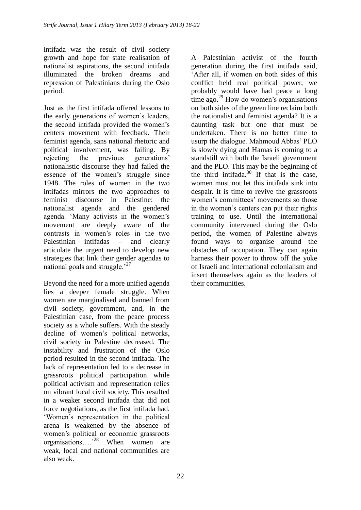intifada was the result of civil society growth and hope for state realisation of nationalist aspirations, the second intifada illuminated the broken dreams and repression of Palestinians during the Oslo period.

Just as the first intifada offered lessons to the early generations of women's leaders, the second intifada provided the women's centers movement with feedback. Their feminist agenda, sans national rhetoric and political involvement, was failing. By rejecting the previous generations' nationalistic discourse they had failed the essence of the women's struggle since 1948. The roles of women in the two intifadas mirrors the two approaches to feminist discourse in Palestine: the nationalist agenda and the gendered agenda. 'Many activists in the women's movement are deeply aware of the contrasts in women's roles in the two Palestinian intifadas – and clearly articulate the urgent need to develop new strategies that link their gender agendas to national goals and struggle. $^{27}$ 

Beyond the need for a more unified agenda lies a deeper female struggle. When women are marginalised and banned from civil society, government, and, in the Palestinian case, from the peace process society as a whole suffers. With the steady decline of women's political networks, civil society in Palestine decreased. The instability and frustration of the Oslo period resulted in the second intifada. The lack of representation led to a decrease in grassroots political participation while political activism and representation relies on vibrant local civil society. This resulted in a weaker second intifada that did not force negotiations, as the first intifada had. 'Women's representation in the political arena is weakened by the absence of women's political or economic grassroots organisations….'<sup>28</sup> When women are weak, local and national communities are also weak.

A Palestinian activist of the fourth generation during the first intifada said, 'After all, if women on both sides of this conflict held real political power, we probably would have had peace a long time ago.<sup>29</sup> How do women's organisations on both sides of the green line reclaim both the nationalist and feminist agenda? It is a daunting task but one that must be undertaken. There is no better time to usurp the dialogue. Mahmoud Abbas' PLO is slowly dying and Hamas is coming to a standstill with both the Israeli government and the PLO. This may be the beginning of the third intifada. $30$  If that is the case, women must not let this intifada sink into despair. It is time to revive the grassroots women's committees' movements so those in the women's centers can put their rights training to use. Until the international community intervened during the Oslo period, the women of Palestine always found ways to organise around the obstacles of occupation. They can again harness their power to throw off the yoke of Israeli and international colonialism and insert themselves again as the leaders of their communities.